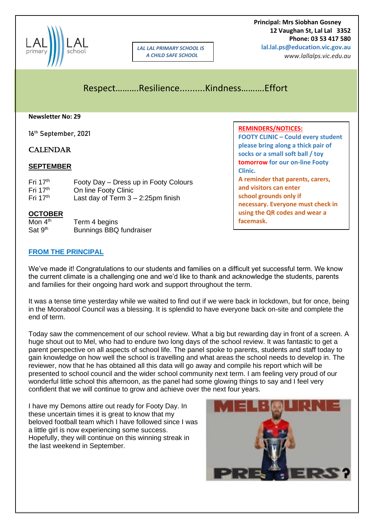

*LAL LAL PRIMARY SCHOOL IS A CHILD SAFE SCHOOL*

 **Principal: Mrs Siobhan Gosney 12 Vaughan St, Lal Lal 3352 Phone: 03 53 417 580 lal.lal.ps@education.vic.gov.au**

*www.lallalps.vic.edu.au* 

Respect……….Resilience..........Kindness……….Effort

#### **Newsletter No: 29**

16th September, 2021

# **CALENDAR**

### **SEPTEMBER**

| Fri $17th$ | Footy Day - Dress up in Footy Colours |
|------------|---------------------------------------|
| Fri $17th$ | On line Footy Clinic                  |
| Fri $17th$ | Last day of Term $3 - 2:25$ pm finish |

### **OCTOBER**

| Mon $4th$           | Term 4 begins                  |
|---------------------|--------------------------------|
| Sat 9 <sup>th</sup> | <b>Bunnings BBQ fundraiser</b> |

### **FROM THE PRINCIPAL**

We've made it! Congratulations to our students and families on a difficult yet successful term. We know the current climate is a challenging one and we'd like to thank and acknowledge the students, parents and families for their ongoing hard work and support throughout the term.

It was a tense time yesterday while we waited to find out if we were back in lockdown, but for once, being in the Moorabool Council was a blessing. It is splendid to have everyone back on-site and complete the end of term.

Today saw the commencement of our school review. What a big but rewarding day in front of a screen. A huge shout out to Mel, who had to endure two long days of the school review. It was fantastic to get a parent perspective on all aspects of school life. The panel spoke to parents, students and staff today to gain knowledge on how well the school is travelling and what areas the school needs to develop in. The reviewer, now that he has obtained all this data will go away and compile his report which will be presented to school council and the wider school community next term. I am feeling very proud of our wonderful little school this afternoon, as the panel had some glowing things to say and I feel very confident that we will continue to grow and achieve over the next four years.

I have my Demons attire out ready for Footy Day. In these uncertain times it is great to know that my beloved football team which I have followed since I was a little girl is now experiencing some success. Hopefully, they will continue on this winning streak in the last weekend in September.



### **FOOTY CLINIC – Could every student please bring along a thick pair of socks or a small soft ball / toy tomorrow for our on-line Footy Clinic. A reminder that parents, carers, and visitors can enter school grounds only if necessary. Everyone must check in using the QR codes and wear a facemask.**

**REMINDERS/NOTICES:**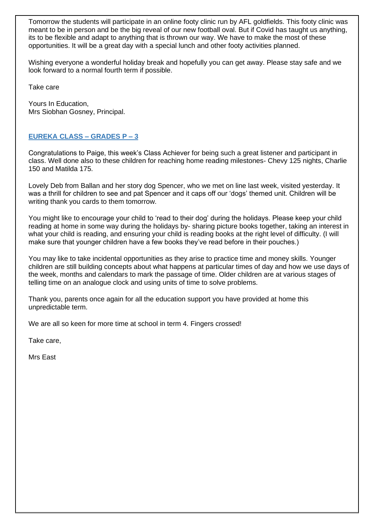Tomorrow the students will participate in an online footy clinic run by AFL goldfields. This footy clinic was meant to be in person and be the big reveal of our new football oval. But if Covid has taught us anything, its to be flexible and adapt to anything that is thrown our way. We have to make the most of these opportunities. It will be a great day with a special lunch and other footy activities planned.

Wishing everyone a wonderful holiday break and hopefully you can get away. Please stay safe and we look forward to a normal fourth term if possible.

Take care

Yours In Education, Mrs Siobhan Gosney, Principal.

# **EUREKA CLASS – GRADES P – 3**

Congratulations to Paige, this week's Class Achiever for being such a great listener and participant in class. Well done also to these children for reaching home reading milestones- Chevy 125 nights, Charlie 150 and Matilda 175.

Lovely Deb from Ballan and her story dog Spencer, who we met on line last week, visited yesterday. It was a thrill for children to see and pat Spencer and it caps off our 'dogs' themed unit. Children will be writing thank you cards to them tomorrow.

You might like to encourage your child to 'read to their dog' during the holidays. Please keep your child reading at home in some way during the holidays by- sharing picture books together, taking an interest in what your child is reading, and ensuring your child is reading books at the right level of difficulty. (I will make sure that younger children have a few books they've read before in their pouches.)

You may like to take incidental opportunities as they arise to practice time and money skills. Younger children are still building concepts about what happens at particular times of day and how we use days of the week, months and calendars to mark the passage of time. Older children are at various stages of telling time on an analogue clock and using units of time to solve problems.

Thank you, parents once again for all the education support you have provided at home this unpredictable term.

We are all so keen for more time at school in term 4. Fingers crossed!

Take care,

Mrs East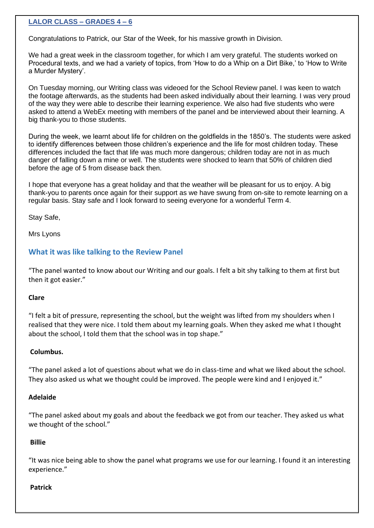# **LALOR CLASS – GRADES 4 – 6**

Congratulations to Patrick, our Star of the Week, for his massive growth in Division.

We had a great week in the classroom together, for which I am very grateful. The students worked on Procedural texts, and we had a variety of topics, from 'How to do a Whip on a Dirt Bike,' to 'How to Write a Murder Mystery'.

On Tuesday morning, our Writing class was videoed for the School Review panel. I was keen to watch the footage afterwards, as the students had been asked individually about their learning. I was very proud of the way they were able to describe their learning experience. We also had five students who were asked to attend a WebEx meeting with members of the panel and be interviewed about their learning. A big thank-you to those students.

During the week, we learnt about life for children on the goldfields in the 1850's. The students were asked to identify differences between those children's experience and the life for most children today. These differences included the fact that life was much more dangerous; children today are not in as much danger of falling down a mine or well. The students were shocked to learn that 50% of children died before the age of 5 from disease back then.

I hope that everyone has a great holiday and that the weather will be pleasant for us to enjoy. A big thank-you to parents once again for their support as we have swung from on-site to remote learning on a regular basis. Stay safe and I look forward to seeing everyone for a wonderful Term 4.

Stay Safe,

Mrs Lyons

# **What it was like talking to the Review Panel**

"The panel wanted to know about our Writing and our goals. I felt a bit shy talking to them at first but then it got easier."

### **Clare**

"I felt a bit of pressure, representing the school, but the weight was lifted from my shoulders when I realised that they were nice. I told them about my learning goals. When they asked me what I thought about the school, I told them that the school was in top shape."

### **Columbus.**

"The panel asked a lot of questions about what we do in class-time and what we liked about the school. They also asked us what we thought could be improved. The people were kind and I enjoyed it."

## **Adelaide**

"The panel asked about my goals and about the feedback we got from our teacher. They asked us what we thought of the school."

## **Billie**

"It was nice being able to show the panel what programs we use for our learning. I found it an interesting experience."

### **Patrick**